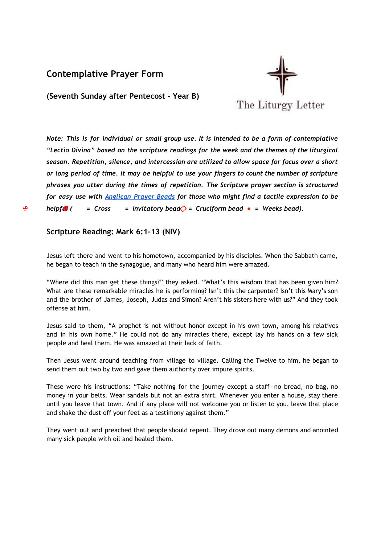## **Contemplative Prayer Form**



**(Seventh Sunday after Pentecost - Year B)**

*Note: This is for individual or small group use. It is intended to be a form of contemplative "Lectio Divina" based on the scripture readings for the week and the themes of the liturgical season. Repetition, silence, and intercession are utilized to allow space for focus over a short* or long period of time. It may be helpful to use your fingers to count the number of scripture *phrases you utter during the times of repetition. The Scripture prayer section is structured for easy use with [Anglican](http://kingofpeace.org/images/prayerbeaddiagram.JPG) Prayer Beads for those who might find a tactile expression to be* ☩ *help f*❂*ul ( = Cross = Invitatory bead* ⃟*= C ruciform bead ● = Weeks bead).*

## **Scripture Reading: Mark 6:1-13 (NIV)**

Jesus left there and went to his hometown, accompanied by his disciples. When the Sabbath came, he began to teach in the synagogue, and many who heard him were amazed.

"Where did this man get these things?" they asked. "What's this wisdom that has been given him? What are these remarkable miracles he is performing? Isn't this the carpenter? Isn't this Mary's son and the brother of James, Joseph, Judas and Simon? Aren't his sisters here with us?" And they took offense at him.

Jesus said to them, "A prophet is not without honor except in his own town, among his relatives and in his own home." He could not do any miracles there, except lay his hands on a few sick people and heal them. He was amazed at their lack of faith.

Then Jesus went around teaching from village to village. Calling the Twelve to him, he began to send them out two by two and gave them authority over impure spirits.

These were his instructions: "Take nothing for the journey except a staff—no bread, no bag, no money in your belts. Wear sandals but not an extra shirt. Whenever you enter a house, stay there until you leave that town. And if any place will not welcome you or listen to you, leave that place and shake the dust off your feet as a testimony against them."

They went out and preached that people should repent. They drove out many demons and anointed many sick people with oil and healed them.